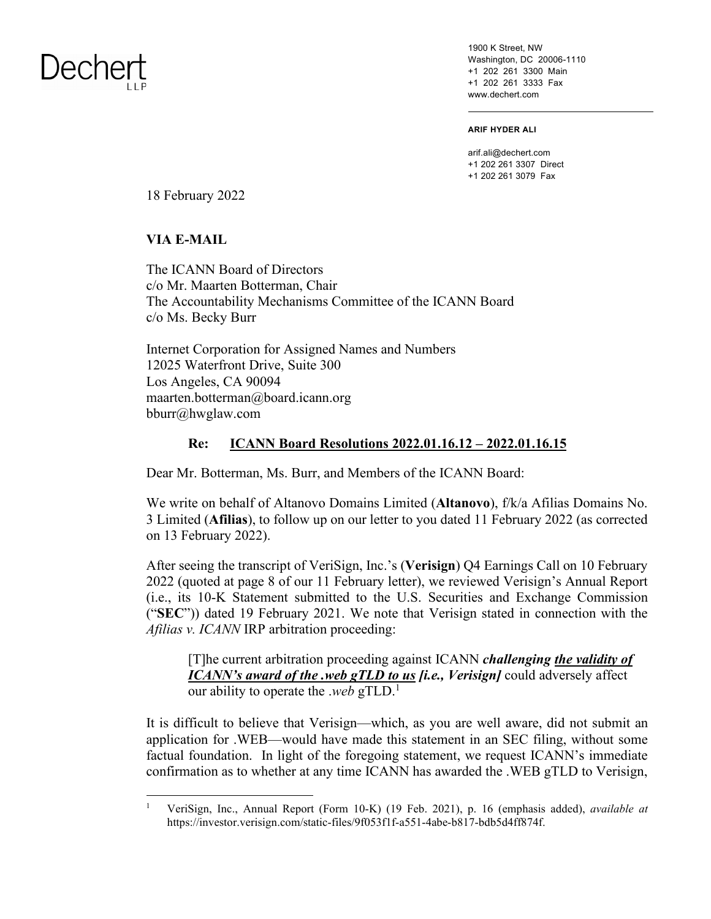## Dechert

1900 K Street, NW Washington, DC 20006-1110 +1 202 261 3300 Main +1 202 261 3333 Fax www.dechert.com

**ARIF HYDER ALI** 

arif.ali@dechert.com +1 202 261 3307 Direct +1 202 261 3079 Fax

18 February 2022

**VIA E-MAIL** 

The ICANN Board of Directors c/o Mr. Maarten Botterman, Chair The Accountability Mechanisms Committee of the ICANN Board c/o Ms. Becky Burr

Internet Corporation for Assigned Names and Numbers 12025 Waterfront Drive, Suite 300 Los Angeles, CA 90094 [maarten.botterman@board.icann.org](mailto:maarten.botterman@board.icann.org) bburr@hwglaw.com

## **Re: ICANN Board Resolutions 2022.01.16.12 – 2022.01.16.15**

Dear Mr. Botterman, Ms. Burr, and Members of the ICANN Board:

We write on behalf of Altanovo Domains Limited (**Altanovo**), f/k/a Afilias Domains No. 3 Limited (**Afilias**), to follow up on our letter to you dated 11 February 2022 (as corrected on 13 February 2022).

After seeing the transcript of VeriSign, Inc.'s (**Verisign**) Q4 Earnings Call on 10 February 2022 (quoted at page 8 of our 11 February letter), we reviewed Verisign's Annual Report (i.e., its 10-K Statement submitted to the U.S. Securities and Exchange Commission ("**SEC**")) dated 19 February 2021. We note that Verisign stated in connection with the *Afilias v. ICANN* IRP arbitration proceeding:

[T]he current arbitration proceeding against ICANN *challenging the validity of ICANN's award of the .web gTLD to us [i.e., Verisign]* could adversely affect our ability to operate the .*web* gTLD.<sup>1</sup>

It is difficult to believe that Verisign—which, as you are well aware, did not submit an application for .WEB—would have made this statement in an SEC filing, without some factual foundation. In light of the foregoing statement, we request ICANN's immediate confirmation as to whether at any time ICANN has awarded the .WEB gTLD to Verisign,

<sup>1</sup> VeriSign, Inc., Annual Report (Form 10-K) (19 Feb. 2021), p. 16 (emphasis added), *available at* https://investor.verisign.com/static-files/9f053f1f-a551-4abe-b817-bdb5d4ff874f.